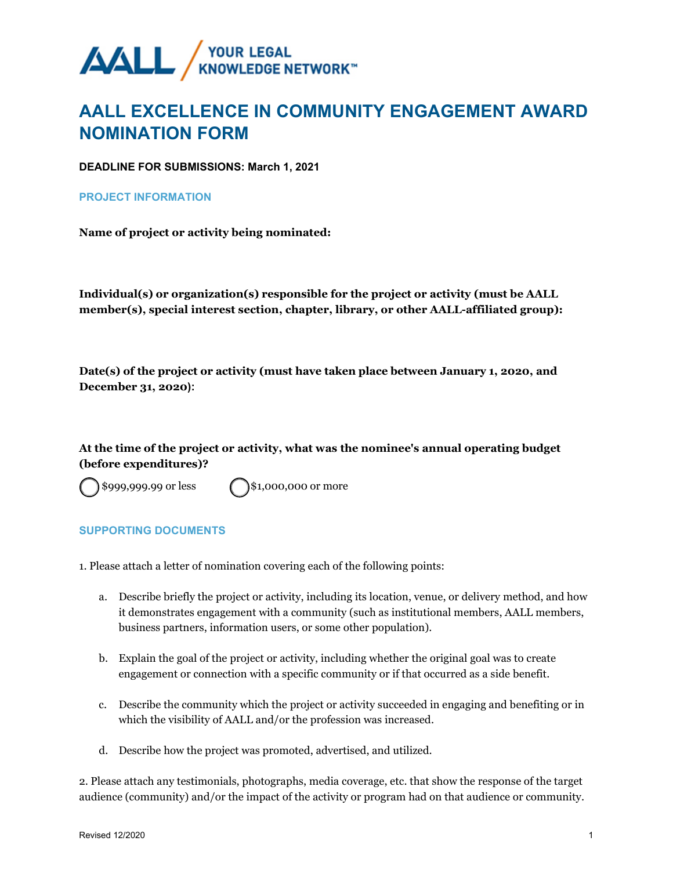$\bigcirc$  $\bigcirc$